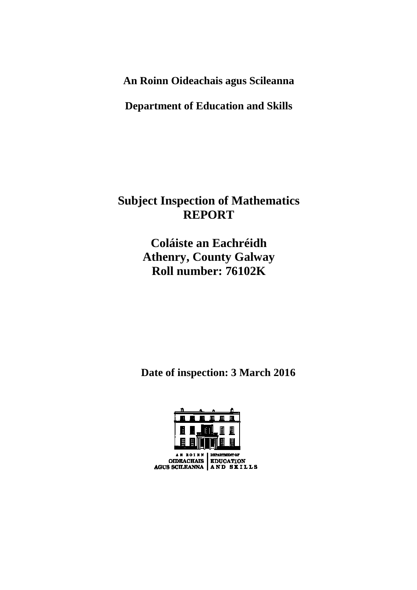**An Roinn Oideachais agus Scileanna** 

**Department of Education and Skills** 

**Subject Inspection of Mathematics REPORT** 

> **Coláiste an Eachréidh Athenry, County Galway Roll number: 76102K**

 **Date of inspection: 3 March 2016** 



MENT OF AN ROINN OIDEACHAIS EDUCATION<br>AGUS SCILEANNA AND SKILLS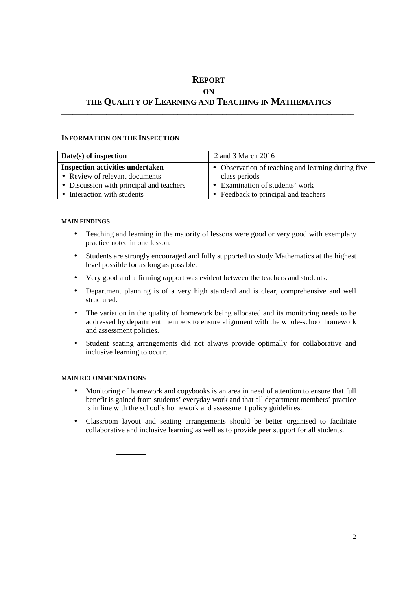# **REPORT ON THE QUALITY OF LEARNING AND TEACHING IN MATHEMATICS**

**\_\_\_\_\_\_\_\_\_\_\_\_\_\_\_\_\_\_\_\_\_\_\_\_\_\_\_\_\_\_\_\_\_\_\_\_\_\_\_\_\_\_\_\_\_\_\_\_\_\_\_\_\_\_\_\_\_\_\_\_\_\_\_\_\_\_\_\_\_\_\_\_\_\_\_\_\_\_** 

# **INFORMATION ON THE INSPECTION**

| Date(s) of inspection                    | 2 and 3 March 2016                                 |
|------------------------------------------|----------------------------------------------------|
| <b>Inspection activities undertaken</b>  | • Observation of teaching and learning during five |
| • Review of relevant documents           | class periods                                      |
| • Discussion with principal and teachers | • Examination of students' work                    |
| • Interaction with students              | • Feedback to principal and teachers               |

# **MAIN FINDINGS**

- Teaching and learning in the majority of lessons were good or very good with exemplary practice noted in one lesson.
- Students are strongly encouraged and fully supported to study Mathematics at the highest level possible for as long as possible.
- Very good and affirming rapport was evident between the teachers and students.
- Department planning is of a very high standard and is clear, comprehensive and well structured.
- The variation in the quality of homework being allocated and its monitoring needs to be addressed by department members to ensure alignment with the whole-school homework and assessment policies.
- Student seating arrangements did not always provide optimally for collaborative and inclusive learning to occur.

# **MAIN RECOMMENDATIONS**

- Monitoring of homework and copybooks is an area in need of attention to ensure that full benefit is gained from students' everyday work and that all department members' practice is in line with the school's homework and assessment policy guidelines.
- Classroom layout and seating arrangements should be better organised to facilitate collaborative and inclusive learning as well as to provide peer support for all students.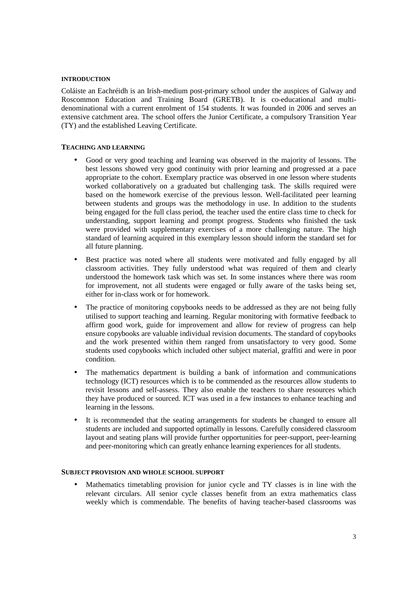#### **INTRODUCTION**

Coláiste an Eachréidh is an Irish-medium post-primary school under the auspices of Galway and Roscommon Education and Training Board (GRETB). It is co-educational and multidenominational with a current enrolment of 154 students. It was founded in 2006 and serves an extensive catchment area. The school offers the Junior Certificate, a compulsory Transition Year (TY) and the established Leaving Certificate.

## **TEACHING AND LEARNING**

- Good or very good teaching and learning was observed in the majority of lessons. The best lessons showed very good continuity with prior learning and progressed at a pace appropriate to the cohort. Exemplary practice was observed in one lesson where students worked collaboratively on a graduated but challenging task. The skills required were based on the homework exercise of the previous lesson. Well-facilitated peer learning between students and groups was the methodology in use. In addition to the students being engaged for the full class period, the teacher used the entire class time to check for understanding, support learning and prompt progress. Students who finished the task were provided with supplementary exercises of a more challenging nature. The high standard of learning acquired in this exemplary lesson should inform the standard set for all future planning.
- Best practice was noted where all students were motivated and fully engaged by all classroom activities. They fully understood what was required of them and clearly understood the homework task which was set. In some instances where there was room for improvement, not all students were engaged or fully aware of the tasks being set, either for in-class work or for homework.
- The practice of monitoring copybooks needs to be addressed as they are not being fully utilised to support teaching and learning. Regular monitoring with formative feedback to affirm good work, guide for improvement and allow for review of progress can help ensure copybooks are valuable individual revision documents. The standard of copybooks and the work presented within them ranged from unsatisfactory to very good. Some students used copybooks which included other subject material, graffiti and were in poor condition.
- The mathematics department is building a bank of information and communications technology (ICT) resources which is to be commended as the resources allow students to revisit lessons and self-assess. They also enable the teachers to share resources which they have produced or sourced. ICT was used in a few instances to enhance teaching and learning in the lessons.
- It is recommended that the seating arrangements for students be changed to ensure all students are included and supported optimally in lessons. Carefully considered classroom layout and seating plans will provide further opportunities for peer-support, peer-learning and peer-monitoring which can greatly enhance learning experiences for all students.

## **SUBJECT PROVISION AND WHOLE SCHOOL SUPPORT**

• Mathematics timetabling provision for junior cycle and TY classes is in line with the relevant circulars. All senior cycle classes benefit from an extra mathematics class weekly which is commendable. The benefits of having teacher-based classrooms was